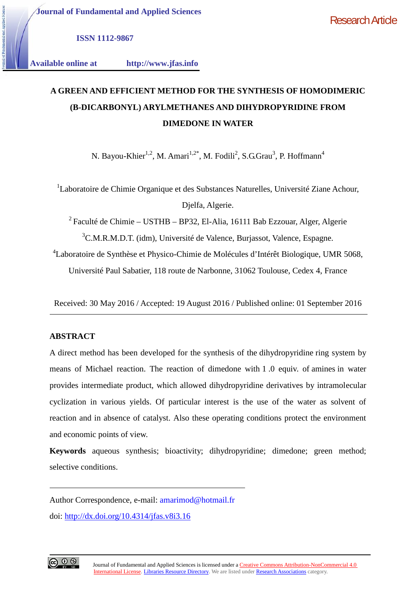**ISSN 1112-9867**

**Available online at http://www.jfas.info**

# **A GREEN AND EFFICIENT METHOD FOR THE SYNTHESIS OF HOMODIMERIC (Β-DICARBONYL) ARYLMETHANES AND DIHYDROPYRIDINE FROM DIMEDONE IN WATER**

N. Bayou-Khier<sup>1,2</sup>, M. Amari<sup>1,2\*</sup>, M. Fodili<sup>2</sup>, S.G.Grau<sup>3</sup>, P. Hoffmann<sup>4</sup>

<sup>1</sup>Laboratoire de Chimie Organique et des Substances Naturelles, Université Ziane Achour, Djelfa, Algerie.

 $2$  Faculté de Chimie – USTHB – BP32, El-Alia, 16111 Bab Ezzouar, Alger, Algerie <sup>3</sup>C.M.R.M.D.T. (idm), Université de Valence, Burjassot, Valence, Espagne.

<sup>4</sup>Laboratoire de Synthèse et Physico-Chimie de Molécules d'Intérêt Biologique, UMR 5068,

Université Paul Sabatier, 118 route de Narbonne, 31062 Toulouse, Cedex 4, France

Received: 30 May 2016 / Accepted: 19 August 2016 / Published online: 01 September 2016

### **ABSTRACT**

A direct method has been developed for the synthesis of the dihydropyridine ring system by means of Michael reaction. The reaction of dimedone with 1 .0 equiv. of amines in water provides intermediate product, which allowed dihydropyridine derivatives by intramolecular cyclization in various yields. Of particular interest is the use of the water as solvent of reaction and in absence of catalyst. Also these operating conditions protect the environment and economic points of view.

**Keywords** aqueous synthesis; bioactivity; dihydropyridine; dimedone; green method; selective conditions.

Author Correspondence, e-mail: amarimod@hotmail.fr

doi: http://dx.doi.org/10.4314/jfas.v8i3.16

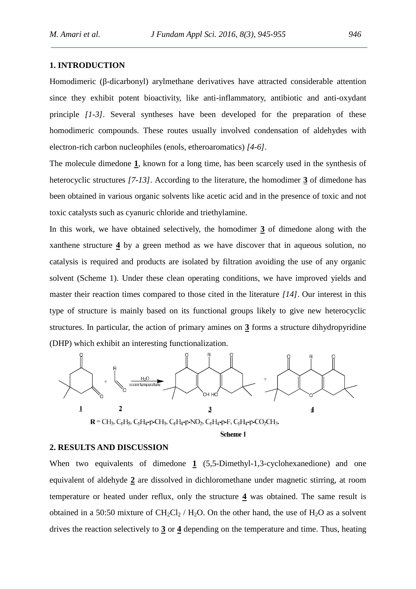#### **1. INTRODUCTION**

Homodimeric (-dicarbonyl) arylmethane derivatives have attracted considerable attention since they exhibit potent bioactivity, like anti-inflammatory, antibiotic and anti-oxydant principle *[1-3]*. Several syntheses have been developed for the preparation of these homodimeric compounds. These routes usually involved condensation of aldehydes with electron-rich carbon nucleophiles (enols, etheroaromatics) *[4-6]*.

The molecule dimedone **1**, known for a long time, has been scarcely used in the synthesis of heterocyclic structures *[7-13]*. According to the literature, the homodimer **3** of dimedone has been obtained in various organic solvents like acetic acid and in the presence of toxic and not toxic catalysts such as cyanuric chloride and triethylamine.

In this work, we have obtained selectively, the homodimer **3** of dimedone along with the xanthene structure **4** by a green method as we have discover that in aqueous solution, no catalysis is required and products are isolated by filtration avoiding the use of any organic solvent (Scheme 1). Under these clean operating conditions, we have improved yields and master their reaction times compared to those cited in the literature *[14]*. Our interest in this type of structure is mainly based on its functional groups likely to give new heterocyclic structures. In particular, the action of primary amines on **3** forms a structure dihydropyridine (DHP) which exhibit an interesting functionalization.



#### **2. RESULTS AND DISCUSSION**

When two equivalents of dimedone 1 (5,5-Dimethyl-1,3-cyclohexanedione) and one equivalent of aldehyde **2** are dissolved in dichloromethane under magnetic stirring, at room temperature or heated under reflux, only the structure **4** was obtained. The same result is obtained in a 50:50 mixture of  $CH_2Cl_2 / H_2O$ . On the other hand, the use of  $H_2O$  as a solvent drives the reaction selectively to **3** or **4** depending on the temperature and time. Thus, heating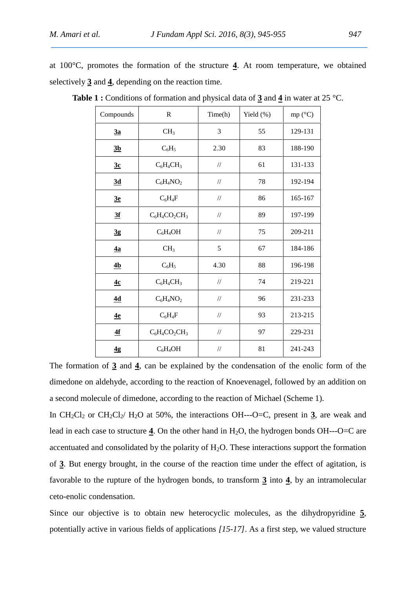|                                                      |  |  |  |  |  |  |  |  |  |  | at $100^{\circ}$ C, promotes the formation of the structure 4. At room temperature, we obtained |  |  |  |
|------------------------------------------------------|--|--|--|--|--|--|--|--|--|--|-------------------------------------------------------------------------------------------------|--|--|--|
| selectively 3 and 4, depending on the reaction time. |  |  |  |  |  |  |  |  |  |  |                                                                                                 |  |  |  |

| Compounds      | $\mathbf R$      | Time(h)           | Yield (%) | mp $(^{\circ}C)$ |  |
|----------------|------------------|-------------------|-----------|------------------|--|
| 3a             | CH <sub>3</sub>  | $\mathfrak{Z}$    | 55        | 129-131          |  |
| 3 <sub>b</sub> | $C_6H_5$         | 2.30              | 83        | 188-190          |  |
| 3c             | $C_6H_4CH_3$     | $/\!/$            | 61        | 131-133          |  |
| 3d             | $C_6H_4NO_2$     | $/\!/$            | 78        | 192-194          |  |
| 3e             | $C_6H_4F$        | $/\!/$            | 86        | 165-167          |  |
| 3f             | $C_6H_4CO_2CH_3$ | $/\!/$            | 89        | 197-199          |  |
| $\frac{3g}{2}$ | $C_6H_4OH$       | $^{\prime\prime}$ | 75        | 209-211          |  |
| $\frac{4a}{2}$ | CH <sub>3</sub>  | 5                 | 67        | 184-186          |  |
| 4 <sub>b</sub> | $C_6H_5$         | 4.30              | 88        | 196-198          |  |
| 4c             | $C_6H_4CH_3$     | $/\!/$            | 74        | 219-221          |  |
| 4d             | $C_6H_4NO_2$     | $/\!/$            | 96        | 231-233          |  |
| 4e             | $C_6H_4F$        | $/\!/$            | 93        | 213-215          |  |
| 4f             | $C_6H_4CO_2CH_3$ | $/\!/$            | 97        | 229-231          |  |
| 4g             | $C_6H_4OH$       | $/\!/$            | 81        | 241-243          |  |

**Table 1 :** Conditions of formation and physical data of **3** and **4** in water at 25 °C.

The formation of **3** and **4**, can be explained by the condensation of the enolic form of the dimedone on aldehyde, according to the reaction of Knoevenagel, followed by an addition on a second molecule of dimedone, according to the reaction of Michael (Scheme 1).

In  $CH_2Cl_2$  or  $CH_2Cl_2$   $H_2O$  at 50%, the interactions OH---O=C, present in 3, are weak and lead in each case to structure  $\frac{4}{1}$ . On the other hand in H<sub>2</sub>O, the hydrogen bonds OH---O=C are accentuated and consolidated by the polarity of  $H_2O$ . These interactions support the formation of **3**. But energy brought, in the course of the reaction time under the effect of agitation, is favorable to the rupture of the hydrogen bonds, to transform **3** into **4**, by an intramolecular ceto-enolic condensation.

Since our objective is to obtain new heterocyclic molecules, as the dihydropyridine **5**, potentially active in various fields of applications *[15-17]*. As a first step, we valued structure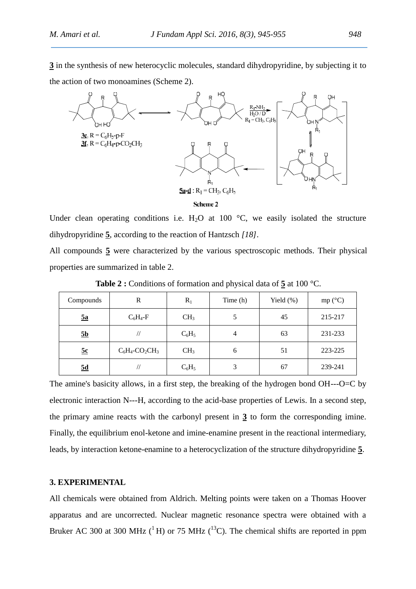**3** in the synthesis of new heterocyclic molecules, standard dihydropyridine, by subjecting it to the action of two monoamines (Scheme 2).



Under clean operating conditions i.e. H<sub>2</sub>O at 100  $^{\circ}$ C, we easily isolated the structure dihydropyridine **5**, according to the reaction of Hantzsch *[18]*.

All compounds **5** were characterized by the various spectroscopic methods. Their physical properties are summarized in table 2.

| Compounds      | R                                         | $R_1$           | Time (h) | Yield $(\%)$ | mp (°C) |
|----------------|-------------------------------------------|-----------------|----------|--------------|---------|
| $\frac{5a}{2}$ | $C_6H_4$ -F                               | CH <sub>3</sub> | 5        | 45           | 215-217 |
| <u>5b</u>      | $^{\prime\prime}$                         | $C_6H_5$        | 4        | 63           | 231-233 |
| 5c             | $C_6H_4$ -CO <sub>2</sub> CH <sub>3</sub> | CH <sub>3</sub> | 6        | 51           | 223-225 |
| 5d             |                                           | $C_6H_5$        | 3        | 67           | 239-241 |

**Table 2 :** Conditions of formation and physical data of **5** at 100 °C.

The amine's basicity allows, in a first step, the breaking of the hydrogen bond OH---O=C by electronic interaction N---H, according to the acid-base properties of Lewis. In a second step, the primary amine reacts with the carbonyl present in **3** to form the corresponding imine. Finally, the equilibrium enol-ketone and imine-enamine present in the reactional intermediary, leads, by interaction ketone-enamine to a heterocyclization of the structure dihydropyridine **5**.

#### **3. EXPERIMENTAL**

All chemicals were obtained from Aldrich. Melting points were taken on a Thomas Hoover apparatus and are uncorrected. Nuclear magnetic resonance spectra were obtained with a Bruker AC 300 at 300 MHz ( ${}^{1}$  H) or 75 MHz ( ${}^{13}$ C). The chemical shifts are reported in ppm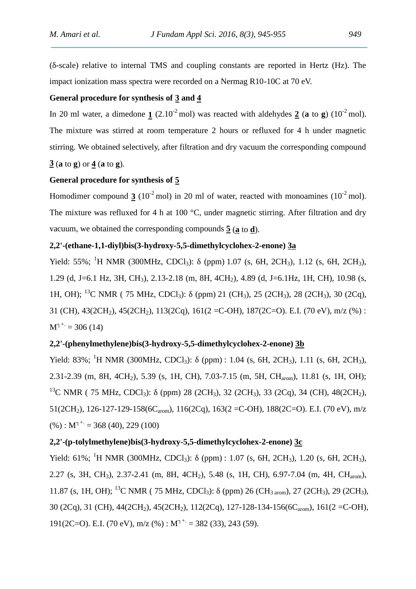(δ-scale) relative to internal TMS and coupling constants are reported in Hertz (Hz). The impact ionization mass spectra were recorded on a Nermag R10-10C at 70 eV.

## **General procedure for synthesis of 3 and 4**

In 20 ml water, a dimedone  $\mathbf{1}$  (2.10<sup>-2</sup> mol) was reacted with aldehydes  $\mathbf{2}$  (**a** to **g**) (10<sup>-2</sup> mol). The mixture was stirred at room temperature 2 hours or refluxed for 4 h under magnetic stirring. We obtained selectively, after filtration and dry vacuum the corresponding compound **3** (**a** to **g**) or **4** (**a** to **g**).

#### **General procedure for synthesis of 5**

Homodimer compound **3** ( $10^{-2}$  mol) in 20 ml of water, reacted with monoamines ( $10^{-2}$  mol). The mixture was refluxed for 4 h at 100 °C, under magnetic stirring. After filtration and dry vacuum, we obtained the corresponding compounds **5** (**a** to **d**).

## **2,2'-(ethane-1,1-diyl)bis(3-hydroxy-5,5-dimethylcyclohex-2-enone) 3a**

Yield: 55%; <sup>1</sup>H NMR (300MHz, CDCl<sub>3</sub>): (ppm) 1.07 (s, 6H, 2CH<sub>3</sub>), 1.12 (s, 6H, 2CH<sub>3</sub>), 1.29 (d, J=6.1 Hz, 3H, CH<sub>3</sub>), 2.13-2.18 (m, 8H, 4CH<sub>2</sub>), 4.89 (d, J=6.1Hz, 1H, CH), 10.98 (s, 1H, OH); <sup>13</sup>C NMR ( 75 MHz, CDCl<sub>3</sub>): (ppm) 21 (CH<sub>3</sub>), 25 (2CH<sub>3</sub>), 28 (2CH<sub>3</sub>), 30 (2Cq), 31 (CH), 43(2CH<sub>2</sub>), 45(2CH<sub>2</sub>), 113(2Cq), 161(2 = C-OH), 187(2C=O). E.I. (70 eV), m/z (%):  $M^{+}$  = 306 (14)

### **2,2'-(phenylmethylene)bis(3-hydroxy-5,5-dimethylcyclohex-2-enone) 3b**

Yield: 83%; <sup>1</sup>H NMR (300MHz, CDCl<sub>3</sub>): (ppm): 1.04 (s, 6H, 2CH<sub>3</sub>), 1.11 (s, 6H, 2CH<sub>3</sub>), 2.31-2.39 (m, 8H, 4CH<sub>2</sub>), 5.39 (s, 1H, CH), 7.03-7.15 (m, 5H, CH<sub>arom</sub>), 11.81 (s, 1H, OH); <sup>13</sup>C NMR ( 75 MHz, CDCl<sub>3</sub>): (ppm) 28 (2CH<sub>3</sub>), 32 (2CH<sub>3</sub>), 33 (2Cq), 34 (CH), 48(2CH<sub>2</sub>), 51(2CH<sub>2</sub>), 126-127-129-158(6C<sub>arom</sub>), 116(2Cq), 163(2 = C-OH), 188(2C=O). E.I. (70 eV), m/z  $(%)$ : M<sup>+</sup> = 368 (40), 229 (100)

### **2,2'-(p-tolylmethylene)bis(3-hydroxy-5,5-dimethylcyclohex-2-enone) 3c**

Yield: 61%; <sup>1</sup>H NMR (300MHz, CDCl<sub>3</sub>): (ppm) : 1.07 (s, 6H, 2CH<sub>3</sub>), 1.20 (s, 6H, 2CH<sub>3</sub>), 2.27 (s, 3H, CH<sub>3</sub>), 2.37-2.41 (m, 8H, 4CH<sub>2</sub>), 5.48 (s, 1H, CH), 6.97-7.04 (m, 4H, CH<sub>arom</sub>), 11.87 (s, 1H, OH); <sup>13</sup>C NMR ( 75 MHz, CDCl<sub>3</sub>): (ppm) 26 (CH<sub>3 arom</sub>), 27 (2CH<sub>3</sub>), 29 (2CH<sub>3</sub>), 30 (2Cq), 31 (CH), 44(2CH<sub>2</sub>), 45(2CH<sub>2</sub>), 112(2Cq), 127-128-134-156(6C<sub>arom</sub>), 161(2 = C-OH), 191(2C=O). E.I. (70 eV), m/z (%) : M<sup>+</sup> = 382 (33), 243 (59).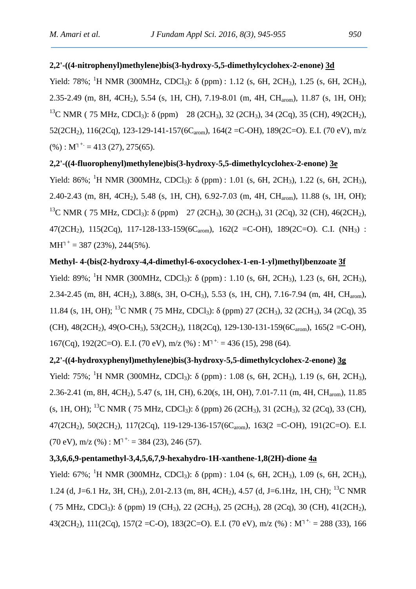### **2,2'-((4-nitrophenyl)methylene)bis(3-hydroxy-5,5-dimethylcyclohex-2-enone) 3d**

Yield: 78%; <sup>1</sup>H NMR (300MHz, CDCl<sub>3</sub>): (ppm): 1.12 (s, 6H, 2CH<sub>3</sub>), 1.25 (s, 6H, 2CH<sub>3</sub>), 2.35-2.49 (m, 8H, 4CH<sub>2</sub>), 5.54 (s, 1H, CH), 7.19-8.01 (m, 4H, CH<sub>arom</sub>), 11.87 (s, 1H, OH); <sup>13</sup>C NMR ( 75 MHz, CDCl<sub>3</sub>): (ppm) 28 (2CH<sub>3</sub>), 32 (2CH<sub>3</sub>), 34 (2Cq), 35 (CH), 49(2CH<sub>2</sub>), 52(2CH<sub>2</sub>), 116(2Cq), 123-129-141-157(6C<sub>arom</sub>), 164(2 = C-OH), 189(2C=O). E.I. (70 eV), m/z  $(\%): M^{+} = 413 (27), 275(65).$ 

### **2,2'-((4-fluorophenyl)methylene)bis(3-hydroxy-5,5-dimethylcyclohex-2-enone) 3e**

Yield: 86%; <sup>1</sup>H NMR (300MHz, CDCl<sub>3</sub>): (ppm): 1.01 (s, 6H, 2CH<sub>3</sub>), 1.22 (s, 6H, 2CH<sub>3</sub>), 2.40-2.43 (m, 8H, 4CH<sub>2</sub>), 5.48 (s, 1H, CH), 6.92-7.03 (m, 4H, CH<sub>arom</sub>), 11.88 (s, 1H, OH); <sup>13</sup>C NMR ( 75 MHz, CDCl<sub>3</sub>): (ppm) 27 (2CH<sub>3</sub>), 30 (2CH<sub>3</sub>), 31 (2Cq), 32 (CH), 46(2CH<sub>2</sub>), 47(2CH<sub>2</sub>), 115(2Cq), 117-128-133-159(6C<sub>arom</sub>), 162(2 = C-OH), 189(2C=O). C.I. (NH<sub>3</sub>) : MH  $^+= 387 (23\%)$ , 244(5%).

#### **Methyl- 4-(bis(2-hydroxy-4,4-dimethyl-6-oxocyclohex-1-en-1-yl)methyl)benzoate 3f**

Yield: 89%; <sup>1</sup>H NMR (300MHz, CDCl<sub>3</sub>): (ppm) : 1.10 (s, 6H, 2CH<sub>3</sub>), 1.23 (s, 6H, 2CH<sub>3</sub>), 2.34-2.45 (m, 8H, 4CH<sub>2</sub>), 3.88(s, 3H, O-CH<sub>3</sub>), 5.53 (s, 1H, CH), 7.16-7.94 (m, 4H, CH<sub>arom</sub>), 11.84 (s, 1H, OH); <sup>13</sup>C NMR ( 75 MHz, CDCl<sub>3</sub>): (ppm) 27 (2CH<sub>3</sub>), 32 (2CH<sub>3</sub>), 34 (2Cq), 35 (CH),  $48(2CH_2)$ ,  $49(O-CH_3)$ ,  $53(2CH_2)$ ,  $118(2Cq)$ ,  $129-130-131-159(6C_{arom})$ ,  $165(2=$ C-OH), 167(Cq), 192(2C=O). E.I. (70 eV), m/z (%) : M<sup>+</sup> = 436 (15), 298 (64).

# **2,2'-((4-hydroxyphenyl)methylene)bis(3-hydroxy-5,5-dimethylcyclohex-2-enone) 3g** Yield: 75%; <sup>1</sup>H NMR (300MHz, CDCl<sub>3</sub>): (ppm) : 1.08 (s, 6H, 2CH<sub>3</sub>), 1.19 (s, 6H, 2CH<sub>3</sub>), 2.36-2.41 (m, 8H, 4CH2), 5.47 (s, 1H, CH), 6.20(s, 1H, OH), 7.01-7.11 (m, 4H, CHarom), 11.85  $(S, 1H, OH);$  <sup>13</sup>C NMR ( 75 MHz, CDCl<sub>3</sub>): (ppm) 26 (2CH<sub>3</sub>), 31 (2CH<sub>3</sub>), 32 (2Cq), 33 (CH), 47(2CH<sub>2</sub>), 50(2CH<sub>2</sub>), 117(2Cq), 119-129-136-157(6C<sub>arom</sub>), 163(2 = C-OH), 191(2C=O). E.I.  $(70 \text{ eV})$ , m/z  $(\%)$  : M<sup>+</sup> = 384 (23), 246 (57).

#### **3,3,6,6,9-pentamethyl-3,4,5,6,7,9-hexahydro-1H-xanthene-1,8(2H)-dione 4a**

Yield: 67%; <sup>1</sup>H NMR (300MHz, CDCl<sub>3</sub>): (ppm): 1.04 (s, 6H, 2CH<sub>3</sub>), 1.09 (s, 6H, 2CH<sub>3</sub>), 1.24 (d, J=6.1 Hz, 3H, CH3), 2.01-2.13 (m, 8H, 4CH2), 4.57 (d, J=6.1Hz, 1H, CH); <sup>13</sup>C NMR  $( 75 MHz, CDCl<sub>3</sub>)$ : (ppm) 19 (CH<sub>3</sub>), 22 (2CH<sub>3</sub>), 25 (2CH<sub>3</sub>), 28 (2Cq), 30 (CH), 41(2CH<sub>2</sub>), 43(2CH<sub>2</sub>), 111(2Cq), 157(2 = C-O), 183(2C=O). E.I. (70 eV), m/z (%) : M<sup>+</sup> = 288 (33), 166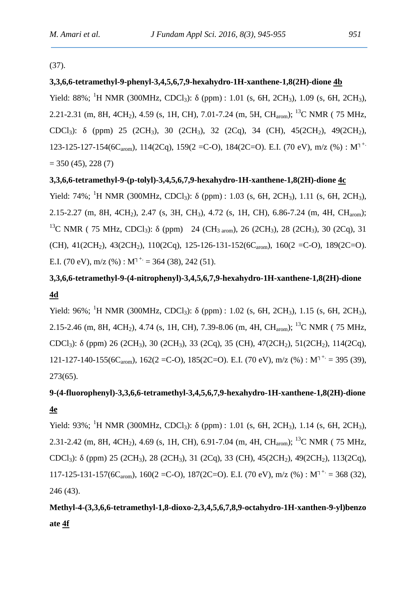(37).

#### **3,3,6,6-tetramethyl-9-phenyl-3,4,5,6,7,9-hexahydro-1H-xanthene-1,8(2H)-dione 4b**

Yield: 88%; <sup>1</sup>H NMR (300MHz, CDCl<sub>3</sub>): (ppm) : 1.01 (s, 6H, 2CH<sub>3</sub>), 1.09 (s, 6H, 2CH<sub>3</sub>), 2.21-2.31 (m, 8H, 4CH<sub>2</sub>), 4.59 (s, 1H, CH), 7.01-7.24 (m, 5H, CH<sub>3rom</sub>); <sup>13</sup>C NMR ( 75 MHz, CDCl<sub>3</sub>): (ppm) 25 (2CH<sub>3</sub>), 30 (2CH<sub>3</sub>), 32 (2Cq), 34 (CH), 45(2CH<sub>2</sub>), 49(2CH<sub>2</sub>), 123-125-127-154(6C<sub>arom</sub>), 114(2Cq), 159(2 = C-O), 184(2C=O). E.I. (70 eV), m/z (%) : M<sup>+.</sup>  $= 350 (45), 228 (7)$ 

#### **3,3,6,6-tetramethyl-9-(p-tolyl)-3,4,5,6,7,9-hexahydro-1H-xanthene-1,8(2H)-dione 4c**

Yield: 74%; <sup>1</sup>H NMR (300MHz, CDCl<sub>3</sub>): (ppm): 1.03 (s, 6H, 2CH<sub>3</sub>), 1.11 (s, 6H, 2CH<sub>3</sub>), 2.15-2.27 (m, 8H, 4CH<sub>2</sub>), 2.47 (s, 3H, CH<sub>3</sub>), 4.72 (s, 1H, CH), 6.86-7.24 (m, 4H, CH<sub>arom</sub>); <sup>13</sup>C NMR ( 75 MHz, CDCl<sub>3</sub>): (ppm) 24 (CH<sub>3 arom</sub>), 26 (2CH<sub>3</sub>), 28 (2CH<sub>3</sub>), 30 (2Cq), 31 (CH),  $41(2CH_2)$ ,  $43(2CH_2)$ ,  $110(2Cq)$ ,  $125-126-131-152(6C_{\text{arom}})$ ,  $160(2 = C-O)$ ,  $189(2C=O)$ . E.I. (70 eV), m/z (%) : M<sup>+</sup> = 364 (38), 242 (51).

# **3,3,6,6-tetramethyl-9-(4-nitrophenyl)-3,4,5,6,7,9-hexahydro-1H-xanthene-1,8(2H)-dione 4d**

Yield: 96%; <sup>1</sup>H NMR (300MHz, CDCl<sub>3</sub>): (ppm): 1.02 (s, 6H, 2CH<sub>3</sub>), 1.15 (s, 6H, 2CH<sub>3</sub>), 2.15-2.46 (m, 8H, 4CH<sub>2</sub>), 4.74 (s, 1H, CH), 7.39-8.06 (m, 4H, CH<sub>arom</sub>); <sup>13</sup>C NMR ( 75 MHz, CDCl<sub>3</sub>): (ppm) 26 (2CH<sub>3</sub>), 30 (2CH<sub>3</sub>), 33 (2Cq), 35 (CH), 47(2CH<sub>2</sub>), 51(2CH<sub>2</sub>), 114(2Cq), 121-127-140-155(6C<sub>arom</sub>), 162(2 = C-O), 185(2C=O). E.I. (70 eV), m/z (%) : M<sup>+.</sup> = 395 (39), 273(65).

# **9-(4-fluorophenyl)-3,3,6,6-tetramethyl-3,4,5,6,7,9-hexahydro-1H-xanthene-1,8(2H)-dione 4e**

Yield:  $93\%$ ; <sup>1</sup>H NMR (300MHz, CDCl<sub>3</sub>): (ppm) : 1.01 (s, 6H, 2CH<sub>3</sub>), 1.14 (s, 6H, 2CH<sub>3</sub>), 2.31-2.42 (m, 8H, 4CH<sub>2</sub>), 4.69 (s, 1H, CH), 6.91-7.04 (m, 4H, CH<sub>arom</sub>); <sup>13</sup>C NMR ( 75 MHz, CDCl<sub>3</sub>): (ppm) 25 (2CH<sub>3</sub>), 28 (2CH<sub>3</sub>), 31 (2Cq), 33 (CH), 45(2CH<sub>2</sub>), 49(2CH<sub>2</sub>), 113(2Cq), 117-125-131-157(6C<sub>arom</sub>), 160(2 = C-O), 187(2C=O). E.I. (70 eV), m/z (%) : M<sup>+.</sup> = 368 (32), 246 (43).

**Methyl-4-(3,3,6,6-tetramethyl-1,8-dioxo-2,3,4,5,6,7,8,9-octahydro-1H-xanthen-9-yl)benzo ate 4f**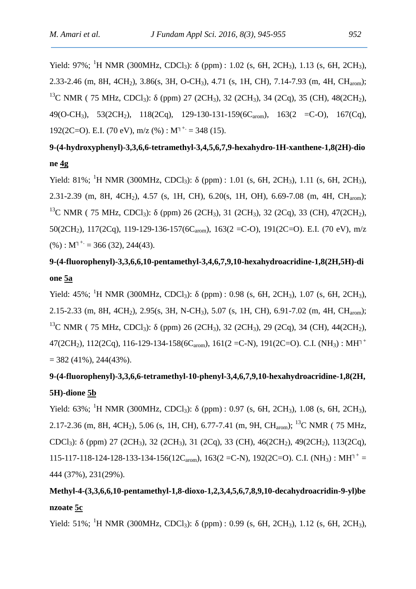Yield: 97%; <sup>1</sup>H NMR (300MHz, CDCl<sub>3</sub>): (ppm): 1.02 (s, 6H, 2CH<sub>3</sub>), 1.13 (s, 6H, 2CH<sub>3</sub>), 2.33-2.46 (m, 8H, 4CH<sub>2</sub>), 3.86(s, 3H, O-CH<sub>3</sub>), 4.71 (s, 1H, CH), 7.14-7.93 (m, 4H, CH<sub>arom</sub>); <sup>13</sup>C NMR ( 75 MHz, CDCl<sub>3</sub>): (ppm) 27 (2CH<sub>3</sub>), 32 (2CH<sub>3</sub>), 34 (2Cq), 35 (CH), 48(2CH<sub>2</sub>), 49(O-CH<sub>3</sub>), 53(2CH<sub>2</sub>), 118(2Cq), 129-130-131-159(6C<sub>arom</sub>), 163(2 = C-O), 167(Cq), 192(2C=O). E.I. (70 eV), m/z (%) : M<sup>+</sup> = 348 (15).

**9-(4-hydroxyphenyl)-3,3,6,6-tetramethyl-3,4,5,6,7,9-hexahydro-1H-xanthene-1,8(2H)-dio ne 4g**

Yield: 81%; <sup>1</sup>H NMR (300MHz, CDCl<sub>3</sub>): (ppm): 1.01 (s, 6H, 2CH<sub>3</sub>), 1.11 (s, 6H, 2CH<sub>3</sub>), 2.31-2.39 (m, 8H, 4CH<sub>2</sub>), 4.57 (s, 1H, CH), 6.20(s, 1H, OH), 6.69-7.08 (m, 4H, CH<sub>arom</sub>); <sup>13</sup>C NMR ( 75 MHz, CDCl<sub>3</sub>): (ppm) 26 (2CH<sub>3</sub>), 31 (2CH<sub>3</sub>), 32 (2Cq), 33 (CH), 47(2CH<sub>2</sub>), 50(2CH<sub>2</sub>), 117(2Cq), 119-129-136-157(6C<sub>arom</sub>), 163(2 = C-O), 191(2C=O). E.I. (70 eV), m/z  $(%) : M^{+} = 366 (32), 244(43).$ 

# **9-(4-fluorophenyl)-3,3,6,6,10-pentamethyl-3,4,6,7,9,10-hexahydroacridine-1,8(2H,5H)-di one 5a**

Yield: 45%; <sup>1</sup>H NMR (300MHz, CDCl<sub>3</sub>): (ppm) : 0.98 (s, 6H, 2CH<sub>3</sub>), 1.07 (s, 6H, 2CH<sub>3</sub>), 2.15-2.33 (m, 8H, 4CH<sub>2</sub>), 2.95(s, 3H, N-CH<sub>3</sub>), 5.07 (s, 1H, CH), 6.91-7.02 (m, 4H, CH<sub>arom</sub>); <sup>13</sup>C NMR ( 75 MHz, CDCl<sub>3</sub>): (ppm) 26 (2CH<sub>3</sub>), 32 (2CH<sub>3</sub>), 29 (2Cq), 34 (CH), 44(2CH<sub>2</sub>), 47(2CH<sub>2</sub>), 112(2Cq), 116-129-134-158(6C<sub>arom</sub>), 161(2 = C-N), 191(2C=O). C.I. (NH<sub>3</sub>): MH<sup>+</sup>  $= 382(41\%)$ , 244(43%).

# **9-(4-fluorophenyl)-3,3,6,6-tetramethyl-10-phenyl-3,4,6,7,9,10-hexahydroacridine-1,8(2H, 5H)-dione 5b**

Yield: 63%; <sup>1</sup>H NMR (300MHz, CDCl<sub>3</sub>): (ppm) : 0.97 (s, 6H, 2CH<sub>3</sub>), 1.08 (s, 6H, 2CH<sub>3</sub>), 2.17-2.36 (m, 8H, 4CH<sub>2</sub>), 5.06 (s, 1H, CH), 6.77-7.41 (m, 9H, CH<sub>arom</sub>); <sup>13</sup>C NMR ( 75 MHz, CDCl<sub>3</sub>): (ppm) 27 (2CH<sub>3</sub>), 32 (2CH<sub>3</sub>), 31 (2Cq), 33 (CH), 46(2CH<sub>2</sub>), 49(2CH<sub>2</sub>), 113(2Cq), 115-117-118-124-128-133-134-156(12C<sub>arom</sub>), 163(2 =C-N), 192(2C=O). C.I. (NH<sub>3</sub>) : MH<sup>+</sup> = 444 (37%), 231(29%).

# **Methyl-4-(3,3,6,6,10-pentamethyl-1,8-dioxo-1,2,3,4,5,6,7,8,9,10-decahydroacridin-9-yl)be nzoate 5c**

Yield: 51%; <sup>1</sup>H NMR (300MHz, CDCl<sub>3</sub>): (ppm) : 0.99 (s, 6H, 2CH<sub>3</sub>), 1.12 (s, 6H, 2CH<sub>3</sub>),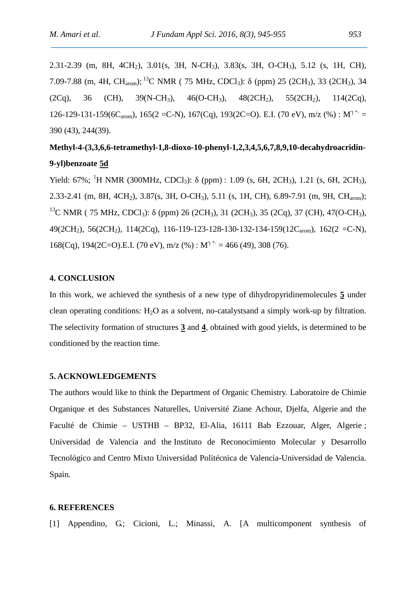2.31-2.39 (m, 8H, 4CH2), 3.01(s, 3H, N-CH3), 3.83(s, 3H, O-CH3), 5.12 (s, 1H, CH), 7.09-7.88 (m, 4H, CH<sub>arom</sub>); <sup>13</sup>C NMR ( 75 MHz, CDCl<sub>3</sub>): (ppm) 25 (2CH<sub>3</sub>), 33 (2CH<sub>3</sub>), 34  $(2Cq)$ , 36 (CH), 39(N-CH<sub>3</sub>), 46(O-CH<sub>3</sub>), 48(2CH<sub>2</sub>), 55(2CH<sub>2</sub>), 114(2Cq), 126-129-131-159(6C<sub>arom</sub>), 165(2 = C-N), 167(Cq), 193(2C=O). E.I. (70 eV), m/z (%) : M<sup>+.</sup> = 390 (43), 244(39).

# **Methyl-4-(3,3,6,6-tetramethyl-1,8-dioxo-10-phenyl-1,2,3,4,5,6,7,8,9,10-decahydroacridin- 9-yl)benzoate 5d**

Yield: 67%; <sup>1</sup>H NMR (300MHz, CDCl<sub>3</sub>): (ppm): 1.09 (s, 6H, 2CH<sub>3</sub>), 1.21 (s, 6H, 2CH<sub>3</sub>), 2.33-2.41 (m, 8H, 4CH<sub>2</sub>), 3.87(s, 3H, O-CH<sub>3</sub>), 5.11 (s, 1H, CH), 6.89-7.91 (m, 9H, CH<sub>arom</sub>); <sup>13</sup>C NMR ( 75 MHz, CDCl<sub>3</sub>): (ppm) 26 (2CH<sub>3</sub>), 31 (2CH<sub>3</sub>), 35 (2Cq), 37 (CH), 47(O-CH<sub>3</sub>), 49(2CH<sub>2</sub>), 56(2CH<sub>2</sub>), 114(2Cq), 116-119-123-128-130-132-134-159(12C<sub>arom</sub>), 162(2 = C-N), 168(Cq), 194(2C=O).E.I. (70 eV), m/z (%) : M<sup>+</sup> = 466 (49), 308 (76).

#### **4. CONCLUSION**

In this work, we achieved the synthesis of a new type of dihydropyridinemolecules **5** under clean operating conditions:  $H_2O$  as a solvent, no-catalysts and a simply work-up by filtration. The selectivity formation of structures **3** and **4**, obtained with good yields, is determined to be conditioned by the reaction time.

#### **5. ACKNOWLEDGEMENTS**

The authors would like to think the Department of Organic Chemistry. Laboratoire de Chimie Organique et des Substances Naturelles, Université Ziane Achour, Djelfa, Algerie and the Faculté de Chimie – USTHB – BP32, El-Alia, 16111 Bab Ezzouar, Alger, Algerie ; Universidad de Valencia and the Instituto de Reconocimiento Molecular y Desarrollo Tecnológico and Centro Mixto Universidad Politécnica de Valencia-Universidad de Valencia. Spain.

#### **6. REFERENCES**

[1] Appendino, G.; Cicioni, L.; Minassi, A. [A multicomponent synthesis of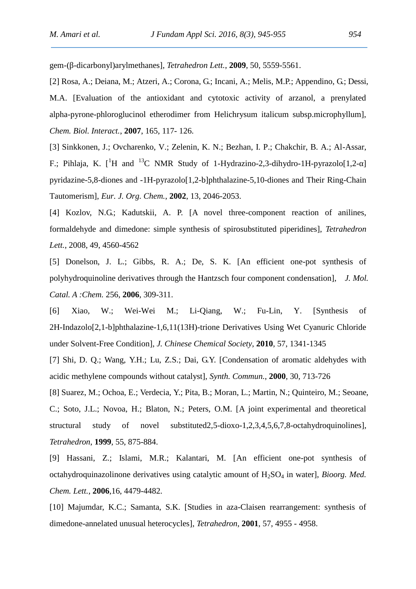gem-(β-dicarbonyl)arylmethanes], *Tetrahedron Lett.*, **2009**, 50, 5559-5561.

[2] Rosa, A.; Deiana, M.; Atzeri, A.; Corona, G.; Incani, A.; Melis, M.P.; Appendino, G.; Dessi, M.A. [Evaluation of the antioxidant and cytotoxic activity of arzanol, a prenylated alpha-pyrone-phloroglucinol etherodimer from Helichrysum italicum subsp.microphyllum], *Chem. Biol. Interact.*, **2007**, 165, 117- 126.

[3] Sinkkonen, J.; Ovcharenko, V.; Zelenin, K. N.; Bezhan, I. P.; Chakchir, B. A.; Al-Assar, F.; Pihlaja, K.  $\int$ <sup>1</sup>H and <sup>13</sup>C NMR Study of 1-Hydrazino-2,3-dihydro-1H-pyrazolo[1,2- ] pyridazine-5,8-diones and -1H-pyrazolo[1,2-b]phthalazine-5,10-diones and Their Ring-Chain Tautomerism], *Eur. J. Org. Chem.*, **2002**, 13, 2046-2053.

[4] Kozlov, N.G.; Kadutskii, A. P. [A novel three-component reaction of anilines, formaldehyde and dimedone: simple synthesis of spirosubstituted piperidines], *Tetrahedron Lett.*, 2008, 49, 4560-4562

[5] Donelson, J. L.; Gibbs, R. A.; De, S. K. [An efficient one-pot synthesis of polyhydroquinoline derivatives through the Hantzsch four component condensation], *J. Mol. Catal. A :Chem.* 256, **2006**, 309-311.

[6] Xiao, W.; Wei-Wei M.; Li-Qiang, W.; Fu-Lin, Y. [Synthesis of 2H-Indazolo[2,1-b]phthalazine-1,6,11(13H)-trione Derivatives Using Wet Cyanuric Chloride under Solvent-Free Condition], *J. Chinese Chemical Society*, **2010**, 57, 1341-1345

[7] Shi, D. Q.; Wang, Y.H.; Lu, Z.S.; Dai, G.Y. [Condensation of aromatic aldehydes with acidic methylene compounds without catalyst], *Synth. Commun.*, **2000**, 30, 713-726

[8] Suarez, M.; Ochoa, E.; Verdecia, Y.; Pita, B.; Moran, L.; Martin, N.; Quinteiro, M.; Seoane, C.; Soto, J.L.; Novoa, H.; Blaton, N.; Peters, O.M. [A joint experimental and theoretical structural study of novel substituted2,5-dioxo-1,2,3,4,5,6,7,8-octahydroquinolines], *Tetrahedron*, **1999**, 55, 875-884.

[9] Hassani, Z.; Islami, M.R.; Kalantari, M. [An efficient one-pot synthesis of octahydroquinazolinone derivatives using catalytic amount of H<sub>2</sub>SO<sub>4</sub> in water], *Bioorg. Med. Chem. Lett.*, **2006**,16, 4479-4482.

[10] Majumdar, K.C.; Samanta, S.K. [Studies in aza-Claisen rearrangement: synthesis of dimedone-annelated unusual heterocycles], *Tetrahedron*, **2001**, 57, 4955 - 4958.